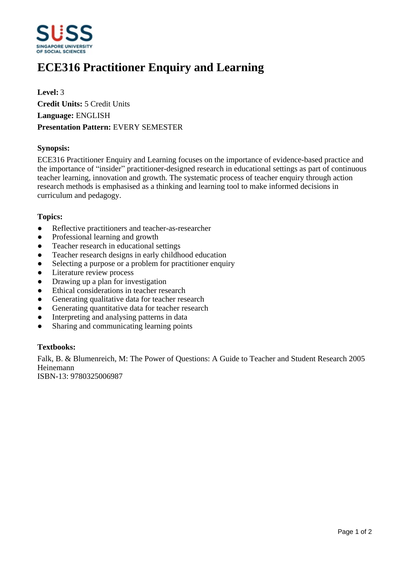

# **ECE316 Practitioner Enquiry and Learning**

**Level:** 3 **Credit Units:** 5 Credit Units **Language:** ENGLISH **Presentation Pattern:** EVERY SEMESTER

### **Synopsis:**

ECE316 Practitioner Enquiry and Learning focuses on the importance of evidence-based practice and the importance of "insider" practitioner-designed research in educational settings as part of continuous teacher learning, innovation and growth. The systematic process of teacher enquiry through action research methods is emphasised as a thinking and learning tool to make informed decisions in curriculum and pedagogy.

#### **Topics:**

- Reflective practitioners and teacher-as-researcher
- Professional learning and growth
- Teacher research in educational settings
- Teacher research designs in early childhood education
- Selecting a purpose or a problem for practitioner enquiry
- Literature review process
- Drawing up a plan for investigation
- Ethical considerations in teacher research
- Generating qualitative data for teacher research
- Generating quantitative data for teacher research
- Interpreting and analysing patterns in data
- Sharing and communicating learning points

## **Textbooks:**

Falk, B. & Blumenreich, M: The Power of Questions: A Guide to Teacher and Student Research 2005 Heinemann

ISBN-13: 9780325006987